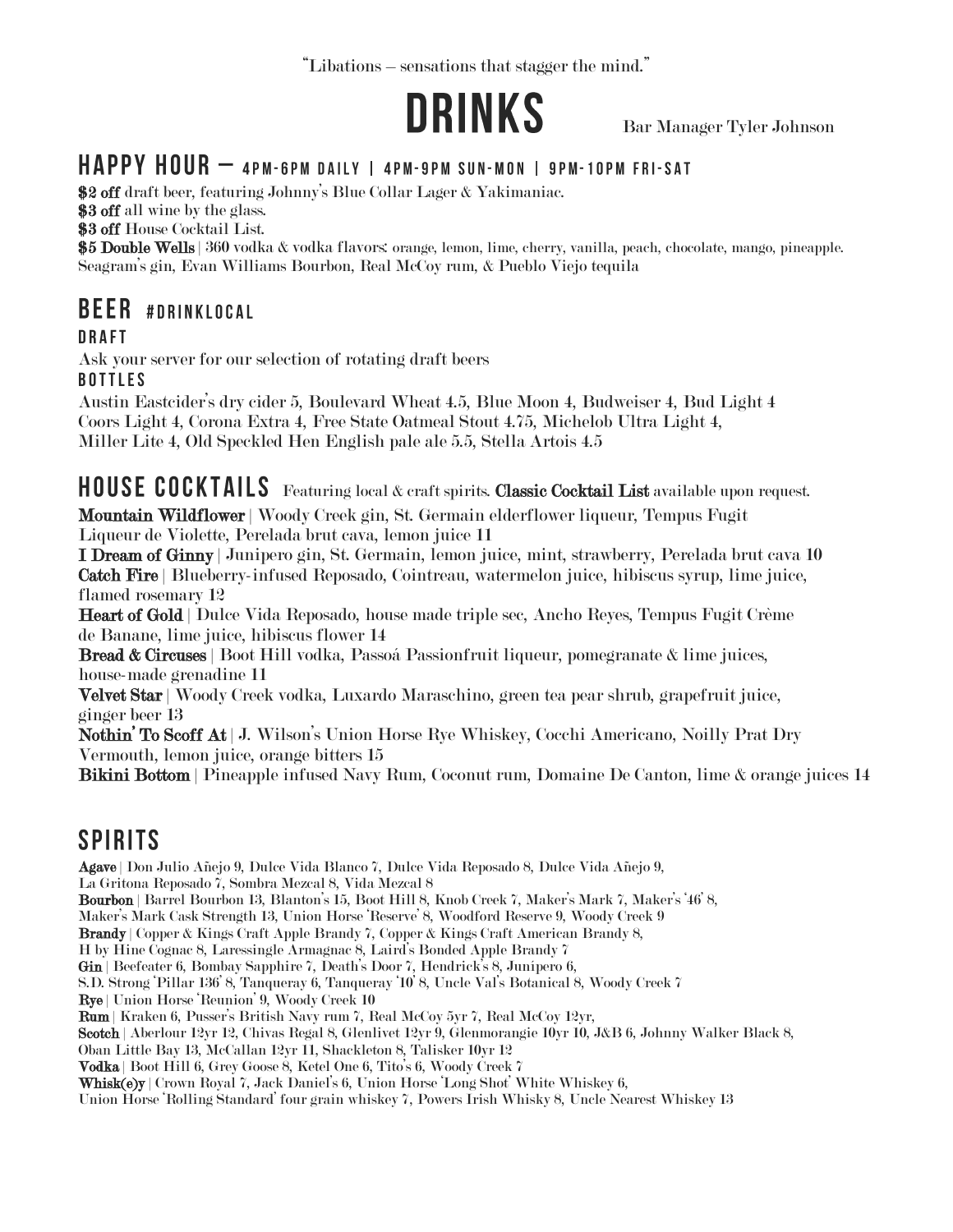"Libations – sensations that stagger the mind."



Bar Manager Tyler Johnson

#### HAPPY HOUR - 4PM-6PM DAILY | 4PM-9PM SUN-MON | 9PM-10PM FRI-SAT

\$2 off draft beer, featuring Johnny's Blue Collar Lager & Yakimaniac.

\$3 off all wine by the glass.

\$3 off House Cocktail List.

\$5 Double Wells | 360 vodka & vodka flavors: orange, lemon, lime, cherry, vanilla, peach, chocolate, mango, pineapple. Seagram's gin, Evan Williams Bourbon, Real McCoy rum, & Pueblo Viejo tequila

#### **BEER #DRINKLOCAL**

Ask your server for our selection of rotating draft beers **BOTTLES** 

Austin Eastcider's dry cider 5, Boulevard Wheat 4.5, Blue Moon 4, Budweiser 4, Bud Light 4 Coors Light 4, Corona Extra 4, Free State Oatmeal Stout 4.75, Michelob Ultra Light 4, Miller Lite 4, Old Speckled Hen English pale ale 5.5, Stella Artois 4.5

HOUSE COCKTAILS Featuring local & craft spirits. Classic Cocktail List available upon request. Mountain Wildflower | Woody Creek gin, St. Germain elderflower liqueur, Tempus Fugit

Liqueur de Violette, Perelada brut cava, lemon juice 11

I Dream of Ginny | Junipero gin, St. Germain, lemon juice, mint, strawberry, Perelada brut cava 10 Catch Fire | Blueberry-infused Reposado, Cointreau, watermelon juice, hibiscus syrup, lime juice, flamed rosemary 12

Heart of Gold | Dulce Vida Reposado, house made triple sec, Ancho Reyes, Tempus Fugit Crème de Banane, lime juice, hibiscus flower 14

Bread & Circuses | Boot Hill vodka, Passoá Passionfruit liqueur, pomegranate & lime juices, house-made grenadine 11

Velvet Star | Woody Creek vodka, Luxardo Maraschino, green tea pear shrub, grapefruit juice, ginger beer 13

Nothin' To Scoff At | J. Wilson's Union Horse Rye Whiskey, Cocchi Americano, Noilly Prat Dry Vermouth, lemon juice, orange bitters 15

Bikini Bottom | Pineapple infused Navy Rum, Coconut rum, Domaine De Canton, lime & orange juices 14

# **SPIRITS**

Agave | Don Julio Añejo 9, Dulce Vida Blanco 7, Dulce Vida Reposado 8, Dulce Vida Añejo 9, La Gritona Reposado 7, Sombra Mezcal 8, Vida Mezcal 8 Bourbon | Barrel Bourbon 13, Blanton's 15, Boot Hill 8, Knob Creek 7, Maker's Mark 7, Maker's '46' 8, Maker's Mark Cask Strength 13, Union Horse 'Reserve' 8, Woodford Reserve 9, Woody Creek 9 Brandy | Copper & Kings Craft Apple Brandy 7, Copper & Kings Craft American Brandy 8, H by Hine Cognac 8, Laressingle Armagnac 8, Laird's Bonded Apple Brandy 7 Gin | Beefeater 6, Bombay Sapphire 7, Death's Door 7, Hendrick's 8, Junípero 6, S.D. Strong 'Pillar 136' 8, Tanqueray 6, Tanqueray '10' 8, Uncle Val's Botanical 8, Woody Creek 7 Rye | Union Horse 'Reunion' 9, Woody Creek 10 Rum | Kraken 6, Pusser's British Navy rum 7, Real McCoy 5yr 7, Real McCoy 12yr, Scotch | Aberlour 12yr 12, Chivas Regal 8, Glenlivet 12yr 9, Glenmorangie 10yr 10, J&B 6, Johnny Walker Black 8, Oban Little Bay 13, McCallan 12yr 11, Shackleton 8, Talisker 10yr 12 Vodka | Boot Hill 6, Grey Goose 8, Ketel One 6, Tito's 6, Woody Creek 7

Whisk(e)y | Crown Royal 7, Jack Daniel's 6, Union Horse 'Long Shot' White Whiskey 6,

Union Horse 'Rolling Standard' four grain whiskey 7, Powers Irish Whisky 8, Uncle Nearest Whiskey 13